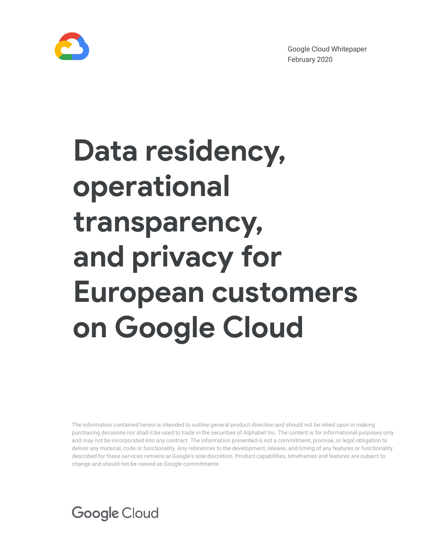

Google Cloud Whitepaper February 2020

# **Data residency, operational transparency, and privacy for European customers on Google Cloud**

The information contained herein is intended to outline general product direction and should not be relied upon in making purchasing decisions nor shall it be used to trade in the securities of Alphabet Inc. The content is for informational purposes only and may not be incorporated into any contract. The information presented is not a commitment, promise, or legal obligation to deliver any material, code or functionality. Any references to the development, release, and timing of any features or functionality described for these services remains at Google's sole discretion. Product capabilities, timeframes and features are subject to change and should not be viewed as Google commitments.

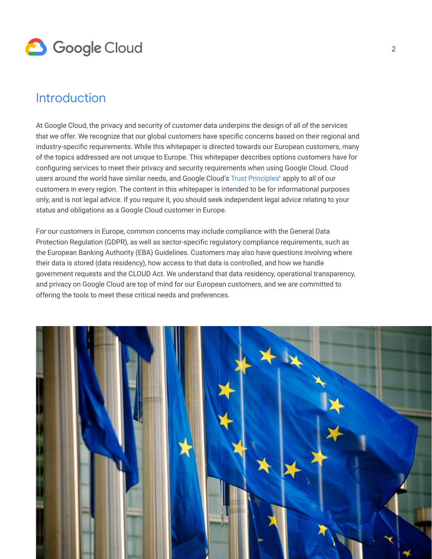

### **Introduction**

At Google Cloud, the privacy and security of customer data underpins the design of all of the services that we offer. We recognize that our global customers have specific concerns based on their regional and industry-specific requirements. While this whitepaper is directed towards our European customers, many of the topics addressed are not unique to Europe. This whitepaper describes options customers have for configuring services to meet their privacy and security requirements when using Google Cloud. Cloud users around the world have similar needs, and Google Cloud's Trust [Principles](https://cloud.google.com/security/privacy/)<sup>1</sup> apply to all of our customers in every region. The content in this whitepaper is intended to be for informational purposes only, and is not legal advice. If you require it, you should seek independent legal advice relating to your status and obligations as a Google Cloud customer in Europe.

For our customers in Europe, common concerns may include compliance with the General Data Protection Regulation (GDPR), as well as sector-specific regulatory compliance requirements, such as the European Banking Authority (EBA) Guidelines. Customers may also have questions involving where their data is stored (data residency), how access to that data is controlled, and how we handle government requests and the CLOUD Act. We understand that data residency, operational transparency, and privacy on Google Cloud are top of mind for our European customers, and we are committed to offering the tools to meet these critical needs and preferences.

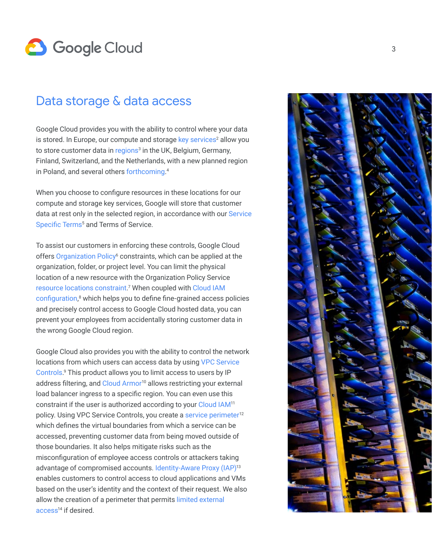

### Data storage & data access

Google Cloud provides you with the ability to control where your data is stored. In Europe, our compute and storage key services<sup>2</sup> allow you to store customer data in [regions](https://cloud.google.com/about/locations/)<sup>3</sup> in the UK, Belgium, Germany, Finland, Switzerland, and the Netherlands, with a new planned region in Poland, and several others [forthcoming.](https://cloud.google.com/about/locations/) 4

When you choose to configure resources in these locations for our compute and storage key services, Google will store that customer data at rest only in the selected region, in accordance with our Service [Specific Terms](https://cloud.google.com/terms/service-terms)<sup>5</sup> and Terms of Service.

To assist our customers in enforcing these controls, Google Cloud offers [Organization Policy](https://cloud.google.com/resource-manager/docs/organization-policy/defining-locations)<sup>6</sup> constraints, which can be applied at the organization, folder, or project level. You can limit the physical location of a new resource with the Organization Policy Service [resource locations constraint](https://cloud.google.com/resource-manager/docs/organization-policy/defining-locations).<sup>7</sup> When coupled with Cloud IAM [configuration](https://cloud.google.com/service-usage/docs/reference/rest/v1/services/enable),<sup>8</sup> which helps you to define fine-grained access policies and precisely control access to Google Cloud hosted data, you can prevent your employees from accidentally storing customer data in the wrong Google Cloud region.

Google Cloud also provides you with the ability to control the network locations from which users can access data by using [VPC Service](https://cloud.google.com/vpc-service-controls/docs/overview)  [Controls](https://cloud.google.com/vpc-service-controls/docs/overview). 9 This product allows you to limit access to users by IP address filtering, and Cloud Armor<sup>10</sup> allows restricting your external load balancer ingress to a specific region. You can even use this constraint if the user is authorized according to your [Cloud IAM](https://cloud.google.com/iam/)<sup>11</sup> policy. Using VPC Service Controls, you create a [service perimeter](https://cloud.google.com/vpc-service-controls/docs/create-service-perimeters)<sup>12</sup> which defines the virtual boundaries from which a service can be accessed, preventing customer data from being moved outside of those boundaries. It also helps mitigate risks such as the misconfiguration of employee access controls or attackers taking advantage of compromised accounts. [Identity-Aware Proxy \(IAP\)](https://cloud.google.com/iap/)<sup>13</sup> enables customers to control access to cloud applications and VMs based on the user's identity and the context of their request. We also allow the creation of a perimeter that permits [limited external](https://cloud.google.com/vpc-service-controls/docs/create-service-perimeters#external-access)  access<sup>14</sup> if desired.

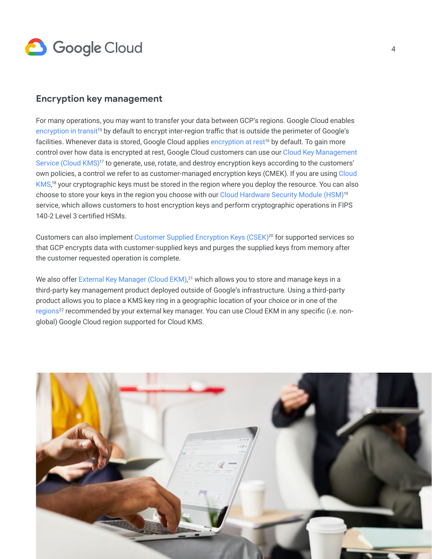

### **Encryption key management**

For many operations, you may want to transfer your data between GCP's regions. Google Cloud enables [encryption in transit](https://cloud.google.com/security/encryption-in-transit/)<sup>15</sup> by default to encrypt inter-region traffic that is outside the perimeter of Google's facilities. Whenever data is stored, Google Cloud applies encryption at rest<sup>16</sup> by default. To gain more control over how data is encrypted at rest, Google Cloud customers can use our [Cloud Key Management](https://cloud.google.com/kms/)  [Service \(Cloud KMS\)](https://cloud.google.com/kms/)<sup>17</sup> to generate, use, rotate, and destroy encryption keys according to the customers' own policies, a control we refer to as customer-managed encryption keys (CMEK). If you are using Cloud [KMS](https://cloud.google.com/kms/),<sup>18</sup> your cryptographic keys must be stored in the region where you deploy the resource. You can also choose to store your keys in the region you choose with our [Cloud Hardware Security Module \(HSM\)](https://cloud.google.com/hsm/)<sup>19</sup> service, which allows customers to host encryption keys and perform cryptographic operations in FIPS 140-2 Level 3 certified HSMs.

Customers can also implement [Customer Supplied Encryption Keys \(CSEK\)](https://cloud.google.com/security/encryption-at-rest/customer-supplied-encryption-keys/)<sup>20</sup> for supported services so that GCP encrypts data with customer-supplied keys and purges the supplied keys from memory after the customer requested operation is complete.

We also offer [External Key Manager \(Cloud EKM\)](https://cloud.google.com/ekm/), 21 which allows you to store and manage keys in a third-party key management product deployed outside of Google's infrastructure. Using a third-party product allows you to place a KMS key ring in a geographic location of your choice or in one of the regions<sup>22</sup> recommended by your external key manager. You can use Cloud EKM in any specific (i.e. nonglobal) Google Cloud region supported for Cloud KMS.

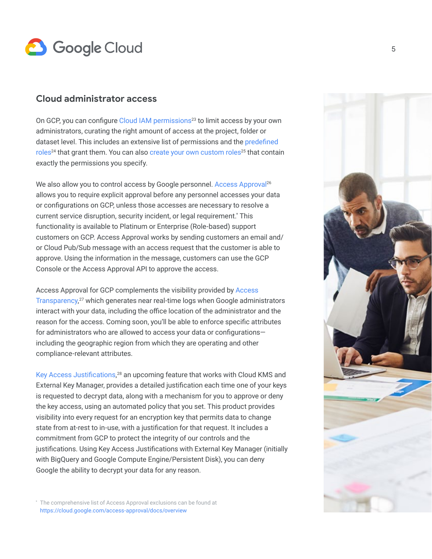# **3** Google Cloud

### **Cloud administrator access**

On GCP, you can configure Cloud IAM permissions<sup>23</sup> to limit access by your own administrators, curating the right amount of access at the project, folder or dataset level. This includes an extensive list of permissions and the predefined roles<sup>24</sup> that grant them. You can also create your own custom roles<sup>25</sup> that contain exactly the permissions you specify.

We also allow you to control access by Google personnel. [Access Approval](https://cloud.google.com/access-approval/docs/)<sup>26</sup> allows you to require explicit approval before any personnel accesses your data or configurations on GCP, unless those accesses are necessary to resolve a current service disruption, security incident, or legal requirement.\* This functionality is available to Platinum or Enterprise (Role-based) support customers on GCP. Access Approval works by sending customers an email and/ or Cloud Pub/Sub message with an access request that the customer is able to approve. Using the information in the message, customers can use the GCP Console or the Access Approval API to approve the access.

Access Approval for GCP complements the visibility provided by [Access](https://cloud.google.com/access-transparency/)  [Transparency](https://cloud.google.com/access-transparency/), 27 which generates near real-time logs when Google administrators interact with your data, including the office location of the administrator and the reason for the access. Coming soon, you'll be able to enforce specific attributes for administrators who are allowed to access your data or configurations including the geographic region from which they are operating and other compliance-relevant attributes.

[Key Access Justifications](https://cloud.google.com/blog/products/identity-security/control-access-to-gcp-data-with-key-access-justifications), <sup>28</sup> an upcoming feature that works with Cloud KMS and External Key Manager, provides a detailed justification each time one of your keys is requested to decrypt data, along with a mechanism for you to approve or deny the key access, using an automated policy that you set. This product provides visibility into every request for an encryption key that permits data to change state from at-rest to in-use, with a justification for that request. It includes a commitment from GCP to protect the integrity of our controls and the justifications. Using Key Access Justifications with External Key Manager (initially with BigQuery and Google Compute Engine/Persistent Disk), you can deny Google the ability to decrypt your data for any reason.



\* The comprehensive list of Access Approval exclusions can be found at <https://cloud.google.com/access-approval/docs/overview>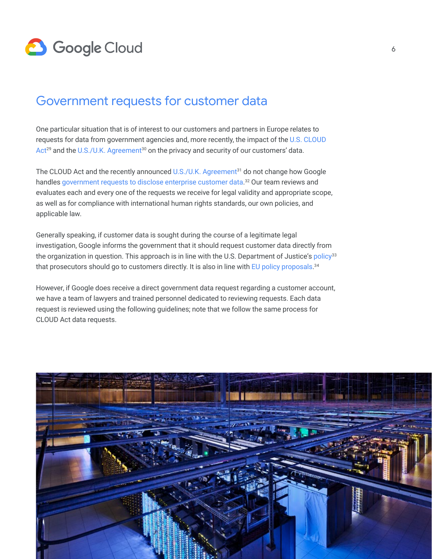

### Government requests for customer data

One particular situation that is of interest to our customers and partners in Europe relates to requests for data from government agencies and, more recently, the impact of the U.S. CLOUD  $Act^{29}$  $Act^{29}$  and the [U.S./U.K. Agreement](https://assets.publishing.service.gov.uk/government/uploads/system/uploads/attachment_data/file/836969/CS_USA_6.2019_Agreement_between_the_United_Kingdom_and_the_USA_on_Access_to_Electronic_Data_for_the_Purpose_of_Countering_Serious_Crime.pdf)<sup>30</sup> on the privacy and security of our customers' data.

The CLOUD Act and the recently announced [U.S./U.K. Agreement](https://assets.publishing.service.gov.uk/government/uploads/system/uploads/attachment_data/file/836969/CS_USA_6.2019_Agreement_between_the_United_Kingdom_and_the_USA_on_Access_to_Electronic_Data_for_the_Purpose_of_Countering_Serious_Crime.pdf)<sup>31</sup> do not change how Google handles [government requests to disclose enterprise customer data](https://services.google.com/fh/files/blogs/government_access_technical_whitepaper.pdf).<sup>32</sup> Our team reviews and evaluates each and every one of the requests we receive for legal validity and appropriate scope, as well as for compliance with international human rights standards, our own policies, and applicable law.

Generally speaking, if customer data is sought during the course of a legitimate legal investigation, Google informs the government that it should request customer data directly from the organization in question. This approach is in line with the U.S. Department of Justice's policy<sup>33</sup> that prosecutors should go to customers directly. It is also in line with [EU policy proposals](https://eur-lex.europa.eu/resource.html?uri=cellar:639c80c9-4322-11e8-a9f4-01aa75ed71a1.0001.02/DOC_1&format=PDF). $^{34}$ 

However, if Google does receive a direct government data request regarding a customer account, we have a team of lawyers and trained personnel dedicated to reviewing requests. Each data request is reviewed using the following guidelines; note that we follow the same process for CLOUD Act data requests.

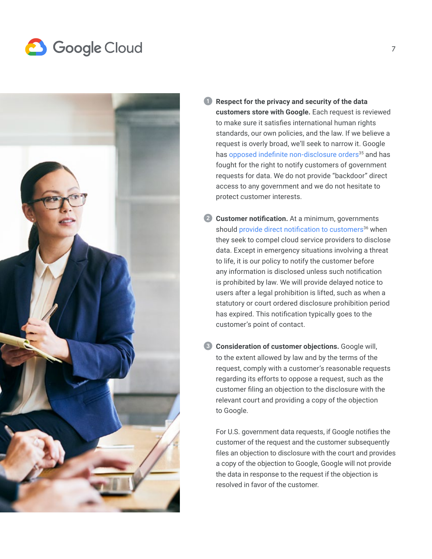# **8** Google Cloud



- ➊ **Respect for the privacy and security of the data customers store with Google.** Each request is reviewed to make sure it satisfies international human rights standards, our own policies, and the law. If we believe a request is overly broad, we'll seek to narrow it. Google has [opposed indefinite non-disclosure orders](https://cloud.google.com/blog/topics/inside-google-cloud/advancing-customer-control-in-the-cloud)<sup>35</sup> and has fought for the right to notify customers of government requests for data. We do not provide "backdoor" direct access to any government and we do not hesitate to protect customer interests.
- **2 Customer notification.** At a minimum, governments should [provide direct notification to customers](https://www.judiciary.senate.gov/imo/media/doc/09-16-15%20Salgado%20Testimony.pdf)<sup>36</sup> when they seek to compel cloud service providers to disclose data. Except in emergency situations involving a threat to life, it is our policy to notify the customer before any information is disclosed unless such notification is prohibited by law. We will provide delayed notice to users after a legal prohibition is lifted, such as when a statutory or court ordered disclosure prohibition period has expired. This notification typically goes to the customer's point of contact.
- ➌ **Consideration of customer objections.** Google will, to the extent allowed by law and by the terms of the request, comply with a customer's reasonable requests regarding its efforts to oppose a request, such as the customer filing an objection to the disclosure with the relevant court and providing a copy of the objection to Google.

For U.S. government data requests, if Google notifies the customer of the request and the customer subsequently files an objection to disclosure with the court and provides a copy of the objection to Google, Google will not provide the data in response to the request if the objection is resolved in favor of the customer.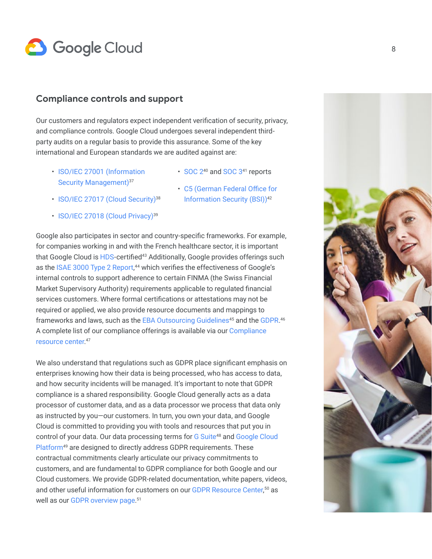

### **Compliance controls and support**

Our customers and regulators expect independent verification of security, privacy, and compliance controls. Google Cloud undergoes several independent thirdparty audits on a regular basis to provide this assurance. Some of the key international and European standards we are audited against are:

- [ISO/IEC 27001 \(Information](https://cloud.google.com/security/compliance/iso-27001/)  [Security Management\)](https://cloud.google.com/security/compliance/iso-27001/)<sup>37</sup>
- [SOC 2](https://cloud.google.com/security/compliance/soc-2/)<sup>40</sup> and [SOC 3](https://cloud.google.com/security/compliance/soc-3/)<sup>41</sup> reports
- [ISO/IEC 27017 \(Cloud Security\)](https://cloud.google.com/security/compliance/iso-27017/)<sup>38</sup>
- [ISO/IEC 27018 \(Cloud Privacy\)](https://cloud.google.com/security/compliance/iso-27018/)<sup>39</sup>
- [C5 \(German Federal Office for](https://cloud.google.com/security/compliance/bsi-c5/)  [Information Security \(BSI\)\)](https://cloud.google.com/security/compliance/bsi-c5/)<sup>42</sup>

Google also participates in sector and country-specific frameworks. For example, for companies working in and with the French healthcare sector, it is important that Google Cloud is [HDS-](https://cloud.google.com/security/compliance/hds/)certified<sup>43</sup> Additionally, Google provides offerings such as the [ISAE 3000 Type 2 Report](https://cloud.google.com/security/compliance/isae-3000-type-1/),<sup>44</sup> which verifies the effectiveness of Google's internal controls to support adherence to certain FINMA (the Swiss Financial Market Supervisory Authority) requirements applicable to regulated financial services customers. Where formal certifications or attestations may not be required or applied, we also provide resource documents and mappings to frameworks and laws, such as the [EBA Outsourcing Guidelines](https://cloud.google.com/security/compliance/eba-outsourcing-guidelines/)<sup>45</sup> and the [GDPR](https://cloud.google.com/security/gdpr/).<sup>46</sup> A complete list of our compliance offerings is available via our [Compliance](http://cloud.google.com/security/compliance)  [resource center](http://cloud.google.com/security/compliance). 47

We also understand that regulations such as GDPR place significant emphasis on enterprises knowing how their data is being processed, who has access to data, and how security incidents will be managed. It's important to note that GDPR compliance is a shared responsibility. Google Cloud generally acts as a data processor of customer data, and as a data processor we process that data only as instructed by you—our customers. In turn, you own your data, and Google Cloud is committed to providing you with tools and resources that put you in control of your data. Our data processing terms for G Suite<sup>48</sup> and Google Cloud Platform<sup>49</sup> are designed to directly address GDPR requirements. These contractual commitments clearly articulate our privacy commitments to customers, and are fundamental to GDPR compliance for both Google and our Cloud customers. We provide GDPR-related documentation, white papers, videos, and other useful information for customers on our [GDPR Resource Center](https://cloud.google.com/security/gdpr/resource-center/), 50 as well as our [GDPR overview page](http://cloud.google.com/security/compliance/gdpr/). 51

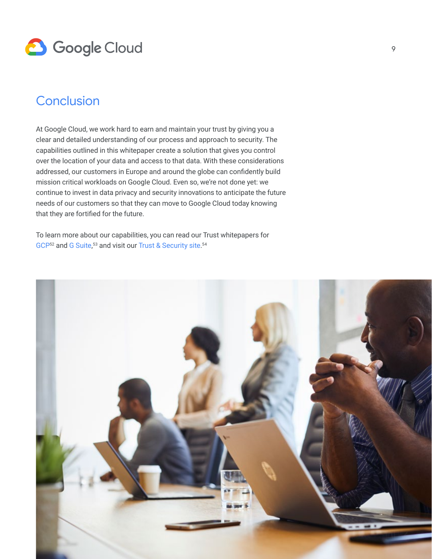

### **Conclusion**

At Google Cloud, we work hard to earn and maintain your trust by giving you a clear and detailed understanding of our process and approach to security. The capabilities outlined in this whitepaper create a solution that gives you control over the location of your data and access to that data. With these considerations addressed, our customers in Europe and around the globe can confidently build mission critical workloads on Google Cloud. Even so, we're not done yet: we continue to invest in data privacy and security innovations to anticipate the future needs of our customers so that they can move to Google Cloud today knowing that they are fortified for the future.

To learn more about our capabilities, you can read our Trust whitepapers for [GCP](https://cloud.google.com/files/gcp-trust-whitepaper.pdf)<sup>52</sup> and [G Suite](https://cloud.google.com/files/gsuite-trust-whitepaper.pdf),<sup>53</sup> and visit our [Trust & Security site](https://cloud.google.com/security/).<sup>54</sup>

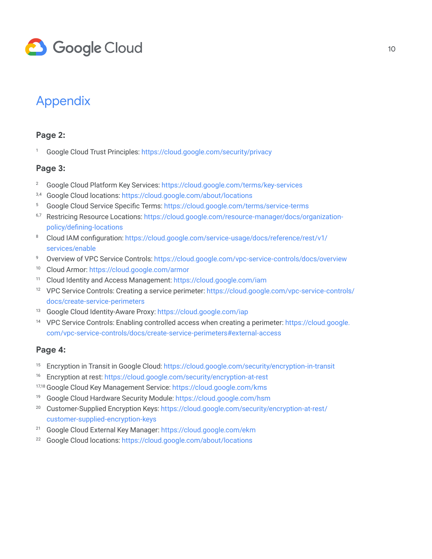

### Appendix

#### **Page 2:**

<sup>1</sup> Google Cloud Trust Principles: [https://cloud.google.com/security/privacy](https://cloud.google.com/security/privacy/)

#### **Page 3:**

- <sup>2</sup> Google Cloud Platform Key Services:<https://cloud.google.com/terms/key-services>
- 3,4 Google Cloud locations: [https://cloud.google.com/about/locations](https://cloud.google.com/about/locations/)
- <sup>5</sup> Google Cloud Service Specific Terms: <https://cloud.google.com/terms/service-terms>
- <sup>6,7</sup> Restricing Resource Locations: [https://cloud.google.com/resource-manager/docs/organization](https://cloud.google.com/resource-manager/docs/organization-policy/defining-locations)[policy/defining-locations](https://cloud.google.com/resource-manager/docs/organization-policy/defining-locations)
- <sup>8</sup> Cloud IAM configuration: [https://cloud.google.com/service-usage/docs/reference/rest/v1/](https://cloud.google.com/service-usage/docs/reference/rest/v1/services/enable) [services/enable](https://cloud.google.com/service-usage/docs/reference/rest/v1/services/enable)
- <sup>9</sup> Overview of VPC Service Controls: <https://cloud.google.com/vpc-service-controls/docs/overview>
- <sup>10</sup> Cloud Armor: [https://cloud.google.com/armor](https://cloud.google.com/armor/)
- <sup>11</sup> Cloud Identity and Access Management: [https://cloud.google.com/iam](https://cloud.google.com/iam/)
- <sup>12</sup> VPC Service Controls: Creating a service perimeter: [https://cloud.google.com/vpc-service-controls/](https://cloud.google.com/vpc-service-controls/docs/create-service-perimeters) [docs/create-service-perimeters](https://cloud.google.com/vpc-service-controls/docs/create-service-perimeters)
- <sup>13</sup> Google Cloud Identity-Aware Proxy: [https://cloud.google.com/iap](https://cloud.google.com/iap/)
- <sup>14</sup> VPC Service Controls: Enabling controlled access when creating a perimeter: [https://cloud.google.](https://cloud.google.com/vpc-service-controls/docs/create-service-perimeters#external-access) [com/vpc-service-controls/docs/create-service-perimeters#external-access](https://cloud.google.com/vpc-service-controls/docs/create-service-perimeters#external-access)

### **Page 4:**

- <sup>15</sup> Encryption in Transit in Google Cloud: [https://cloud.google.com/security/encryption-in-transit](https://cloud.google.com/security/encryption-in-transit/)
- <sup>16</sup> Encryption at rest:<https://cloud.google.com/security/encryption-at-rest>
- 17,18 Google Cloud Key Management Service: [https://cloud.google.com/kms](https://cloud.google.com/kms/)
- <sup>19</sup> Google Cloud Hardware Security Module: [https://cloud.google.com/hsm](https://cloud.google.com/hsm/)
- <sup>20</sup> Customer-Supplied Encryption Keys: [https://cloud.google.com/security/encryption-at-rest/](https://cloud.google.com/security/encryption-at-rest/customer-supplied-encryption-keys/) [customer-supplied-encryption-keys](https://cloud.google.com/security/encryption-at-rest/customer-supplied-encryption-keys/)
- <sup>21</sup> Google Cloud External Key Manager: [https://cloud.google.com/ekm](https://cloud.google.com/ekm/)
- <sup>22</sup> Google Cloud locations: [https://cloud.google.com/about/locations](https://cloud.google.com/about/locations/)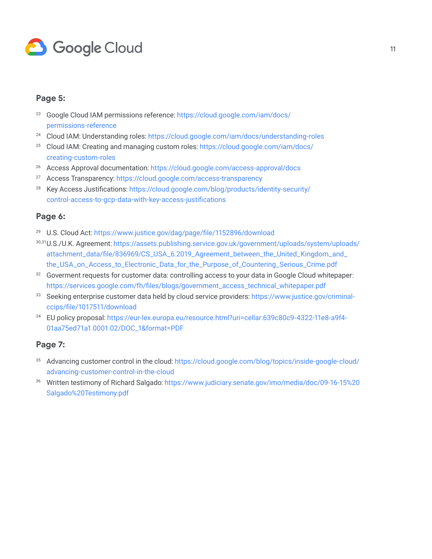

#### **Page 5:**

- <sup>23</sup> Google Cloud IAM permissions reference: [https://cloud.google.com/iam/docs/](https://cloud.google.com/iam/docs/permissions-reference) [permissions-reference](https://cloud.google.com/iam/docs/permissions-reference)
- <sup>24</sup> Cloud IAM: Understanding roles:<https://cloud.google.com/iam/docs/understanding-roles>
- <sup>25</sup> Cloud IAM: Creating and managing custom roles: [https://cloud.google.com/iam/docs/](https://cloud.google.com/iam/docs/creating-custom-roles) [creating-custom-roles](https://cloud.google.com/iam/docs/creating-custom-roles)
- <sup>26</sup> Access Approval documentation: [https://cloud.google.com/access-approval/docs](https://cloud.google.com/access-approval/docs/)
- <sup>27</sup> Access Transparency: [https://cloud.google.com/access-transparency](https://cloud.google.com/access-transparency/)
- <sup>28</sup> Key Access Justifications: [https://cloud.google.com/blog/products/identity-security/](https://cloud.google.com/blog/products/identity-security/control-access-to-gcp-data-with-key-access-justifications) [control-access-to-gcp-data-with-key-access-justifications](https://cloud.google.com/blog/products/identity-security/control-access-to-gcp-data-with-key-access-justifications)

#### **Page 6:**

- <sup>29</sup> U.S. Cloud Act:<https://www.justice.gov/dag/page/file/1152896/download>
- 30,31U.S./U.K. Agreement: [https://assets.publishing.service.gov.uk/government/uploads/system/uploads/](https://assets.publishing.service.gov.uk/government/uploads/system/uploads/attachment_data/file/836969/CS_USA_6.2019_Agreement_between_the_United_Kingdom_and_the_USA_on_Access_to_Electronic_Data_for_the_Purpose_of_Countering_Serious_Crime.pdf) [attachment\\_data/file/836969/CS\\_USA\\_6.2019\\_Agreement\\_between\\_the\\_United\\_Kingdom\\_and\\_](https://assets.publishing.service.gov.uk/government/uploads/system/uploads/attachment_data/file/836969/CS_USA_6.2019_Agreement_between_the_United_Kingdom_and_the_USA_on_Access_to_Electronic_Data_for_the_Purpose_of_Countering_Serious_Crime.pdf) [the\\_USA\\_on\\_Access\\_to\\_Electronic\\_Data\\_for\\_the\\_Purpose\\_of\\_Countering\\_Serious\\_Crime.pdf](https://assets.publishing.service.gov.uk/government/uploads/system/uploads/attachment_data/file/836969/CS_USA_6.2019_Agreement_between_the_United_Kingdom_and_the_USA_on_Access_to_Electronic_Data_for_the_Purpose_of_Countering_Serious_Crime.pdf)
- <sup>32</sup> Goverment requests for customer data: controlling access to your data in Google Cloud whitepaper: [https://services.google.com/fh/files/blogs/government\\_access\\_technical\\_whitepaper.pdf](https://services.google.com/fh/files/blogs/government_access_technical_whitepaper.pdf)
- <sup>33</sup> Seeking enterprise customer data held by cloud service providers: [https://www.justice.gov/criminal](https://www.justice.gov/criminal-ccips/file/1017511/download)[ccips/file/1017511/download](https://www.justice.gov/criminal-ccips/file/1017511/download)
- <sup>34</sup> EU policy proposal: [https://eur-lex.europa.eu/resource.html?uri=cellar:639c80c9-4322-11e8-a9f4-](https://eur-lex.europa.eu/resource.html?uri=cellar:639c80c9-4322-11e8-a9f4-01aa75ed71a1.0001.02/DOC_1&format=PDF) [01aa75ed71a1.0001.02/DOC\\_1&format=PDF](https://eur-lex.europa.eu/resource.html?uri=cellar:639c80c9-4322-11e8-a9f4-01aa75ed71a1.0001.02/DOC_1&format=PDF)

#### **Page 7:**

- <sup>35</sup> Advancing customer control in the cloud: [https://cloud.google.com/blog/topics/inside-google-cloud/](https://cloud.google.com/blog/topics/inside-google-cloud/advancing-customer-control-in-the-cloud) [advancing-customer-control-in-the-cloud](https://cloud.google.com/blog/topics/inside-google-cloud/advancing-customer-control-in-the-cloud)
- <sup>36</sup> Written testimony of Richard Salgado: [https://www.judiciary.senate.gov/imo/media/doc/09-16-15%20](https://www.judiciary.senate.gov/imo/media/doc/09-16-15%20Salgado%20Testimony.pdf) [Salgado%20Testimony.pdf](https://www.judiciary.senate.gov/imo/media/doc/09-16-15%20Salgado%20Testimony.pdf)